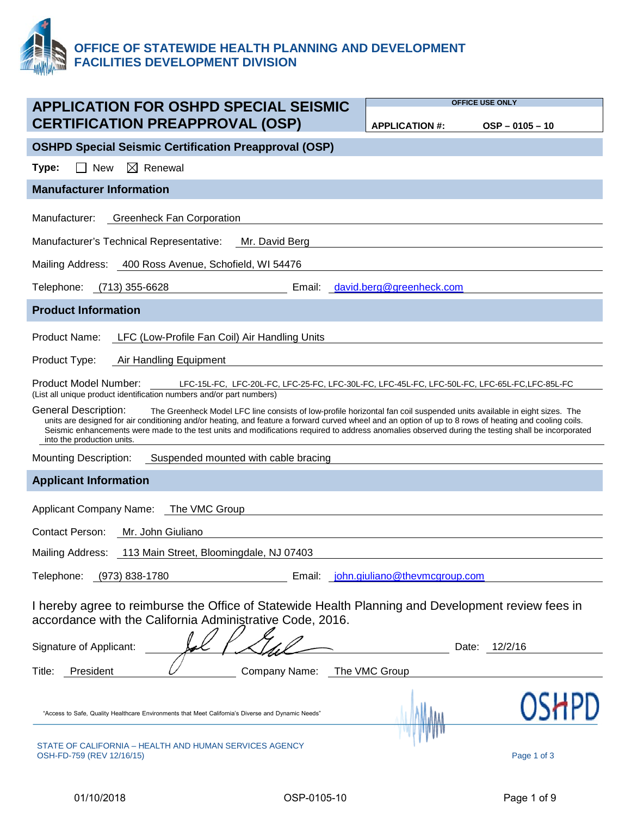

|                                                                                                                                                                                                                                                                                                                                                                                                                                                                                              | <b>OFFICE USE ONLY</b>               |                   |
|----------------------------------------------------------------------------------------------------------------------------------------------------------------------------------------------------------------------------------------------------------------------------------------------------------------------------------------------------------------------------------------------------------------------------------------------------------------------------------------------|--------------------------------------|-------------------|
| <b>APPLICATION FOR OSHPD SPECIAL SEISMIC</b><br><b>CERTIFICATION PREAPPROVAL (OSP)</b>                                                                                                                                                                                                                                                                                                                                                                                                       | <b>APPLICATION #:</b>                | $OSP - 0105 - 10$ |
| <b>OSHPD Special Seismic Certification Preapproval (OSP)</b>                                                                                                                                                                                                                                                                                                                                                                                                                                 |                                      |                   |
| $\boxtimes$ Renewal<br><b>New</b><br>Type:                                                                                                                                                                                                                                                                                                                                                                                                                                                   |                                      |                   |
| <b>Manufacturer Information</b>                                                                                                                                                                                                                                                                                                                                                                                                                                                              |                                      |                   |
| Manufacturer:<br><b>Greenheck Fan Corporation</b>                                                                                                                                                                                                                                                                                                                                                                                                                                            |                                      |                   |
| Manufacturer's Technical Representative:<br>Mr. David Berg                                                                                                                                                                                                                                                                                                                                                                                                                                   |                                      |                   |
| Mailing Address: 400 Ross Avenue, Schofield, WI 54476                                                                                                                                                                                                                                                                                                                                                                                                                                        |                                      |                   |
| Telephone:<br>(713) 355-6628<br>Email:                                                                                                                                                                                                                                                                                                                                                                                                                                                       | david.berg@greenheck.com             |                   |
| <b>Product Information</b>                                                                                                                                                                                                                                                                                                                                                                                                                                                                   |                                      |                   |
| LFC (Low-Profile Fan Coil) Air Handling Units<br>Product Name:                                                                                                                                                                                                                                                                                                                                                                                                                               |                                      |                   |
| Product Type:<br>Air Handling Equipment                                                                                                                                                                                                                                                                                                                                                                                                                                                      |                                      |                   |
| Product Model Number:<br>LFC-15L-FC, LFC-20L-FC, LFC-25-FC, LFC-30L-FC, LFC-45L-FC, LFC-50L-FC, LFC-65L-FC,LFC-85L-FC<br>(List all unique product identification numbers and/or part numbers)                                                                                                                                                                                                                                                                                                |                                      |                   |
| General Description:<br>The Greenheck Model LFC line consists of low-profile horizontal fan coil suspended units available in eight sizes. The<br>units are designed for air conditioning and/or heating, and feature a forward curved wheel and an option of up to 8 rows of heating and cooling coils.<br>Seismic enhancements were made to the test units and modifications required to address anomalies observed during the testing shall be incorporated<br>into the production units. |                                      |                   |
| Suspended mounted with cable bracing<br><b>Mounting Description:</b>                                                                                                                                                                                                                                                                                                                                                                                                                         |                                      |                   |
| <b>Applicant Information</b>                                                                                                                                                                                                                                                                                                                                                                                                                                                                 |                                      |                   |
| <b>Applicant Company Name:</b><br>The VMC Group                                                                                                                                                                                                                                                                                                                                                                                                                                              |                                      |                   |
| Contact Person:<br>Mr. John Giuliano                                                                                                                                                                                                                                                                                                                                                                                                                                                         |                                      |                   |
| Mailing Address: 113 Main Street, Bloomingdale, NJ 07403                                                                                                                                                                                                                                                                                                                                                                                                                                     |                                      |                   |
| Telephone: (973) 838-1780                                                                                                                                                                                                                                                                                                                                                                                                                                                                    | Email: john.giuliano@thevmcgroup.com |                   |
| I hereby agree to reimburse the Office of Statewide Health Planning and Development review fees in<br>accordance with the California Administrative Code, 2016.<br><b>Signature of Applicant:</b>                                                                                                                                                                                                                                                                                            | Date:                                | 12/2/16           |
| President<br>Company Name:<br>Title:                                                                                                                                                                                                                                                                                                                                                                                                                                                         | The VMC Group                        |                   |
| "Access to Safe, Quality Healthcare Environments that Meet California's Diverse and Dynamic Needs"                                                                                                                                                                                                                                                                                                                                                                                           |                                      |                   |
| STATE OF CALIFORNIA – HEALTH AND HUMAN SERVICES AGENCY<br>OSH-FD-759 (REV 12/16/15)                                                                                                                                                                                                                                                                                                                                                                                                          |                                      | Page 1 of 3       |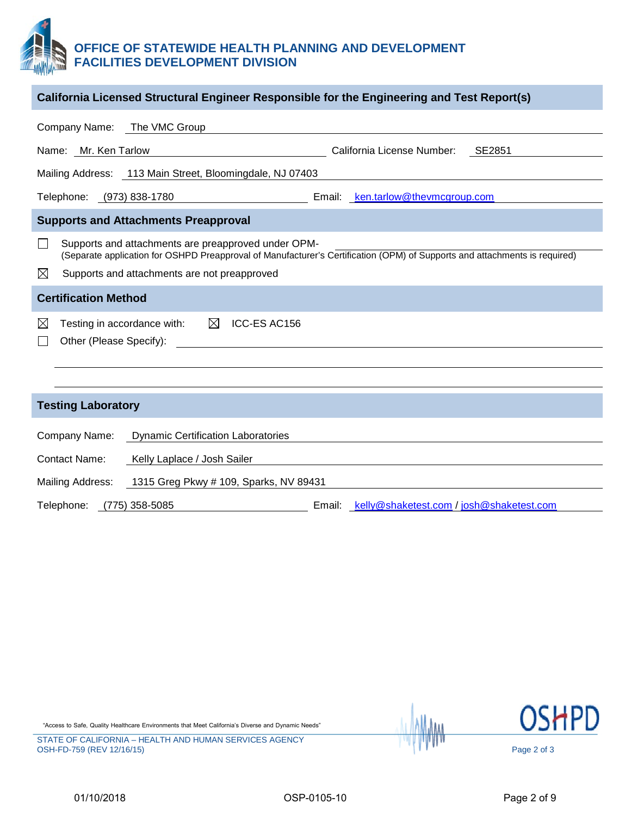#### **OFFICE OF STATEWIDE HEALTH PLANNING AND DEVELOPMENT FACILITIES DEVELOPMENT DIVISION**

| California Licensed Structural Engineer Responsible for the Engineering and Test Report(s)                                                                                        |  |  |  |  |  |  |  |  |  |  |
|-----------------------------------------------------------------------------------------------------------------------------------------------------------------------------------|--|--|--|--|--|--|--|--|--|--|
| Company Name: The VMC Group                                                                                                                                                       |  |  |  |  |  |  |  |  |  |  |
| California License Number: SE2851<br>Name: Mr. Ken Tarlow<br><u> 1989 - Johann Stoff, fransk politik (d. 1989)</u>                                                                |  |  |  |  |  |  |  |  |  |  |
| Mailing Address: 113 Main Street, Bloomingdale, NJ 07403                                                                                                                          |  |  |  |  |  |  |  |  |  |  |
| Email: ken.tarlow@thevmcgroup.com<br>Telephone: (973) 838-1780                                                                                                                    |  |  |  |  |  |  |  |  |  |  |
| <b>Supports and Attachments Preapproval</b>                                                                                                                                       |  |  |  |  |  |  |  |  |  |  |
| Supports and attachments are preapproved under OPM-<br>(Separate application for OSHPD Preapproval of Manufacturer's Certification (OPM) of Supports and attachments is required) |  |  |  |  |  |  |  |  |  |  |
| ⊠<br>Supports and attachments are not preapproved                                                                                                                                 |  |  |  |  |  |  |  |  |  |  |
| <b>Certification Method</b>                                                                                                                                                       |  |  |  |  |  |  |  |  |  |  |
| Testing in accordance with: $\boxtimes$ ICC-ES AC156<br>$\boxtimes$<br>Other (Please Specify):                                                                                    |  |  |  |  |  |  |  |  |  |  |
|                                                                                                                                                                                   |  |  |  |  |  |  |  |  |  |  |
|                                                                                                                                                                                   |  |  |  |  |  |  |  |  |  |  |
| <b>Testing Laboratory</b>                                                                                                                                                         |  |  |  |  |  |  |  |  |  |  |
| Company Name:<br><b>Dynamic Certification Laboratories</b>                                                                                                                        |  |  |  |  |  |  |  |  |  |  |
| Contact Name:<br>Kelly Laplace / Josh Sailer                                                                                                                                      |  |  |  |  |  |  |  |  |  |  |
| Mailing Address:<br>1315 Greg Pkwy # 109, Sparks, NV 89431                                                                                                                        |  |  |  |  |  |  |  |  |  |  |

Telephone: (775) 358-5085 Email: [kelly@shaketest.com](mailto:kelly@shaketest.com) / [josh@shaketest.com](mailto:josh@shaketest.com)

"Access to Safe, Quality Healthcare Environments that Meet California's Diverse and Dynamic Needs"

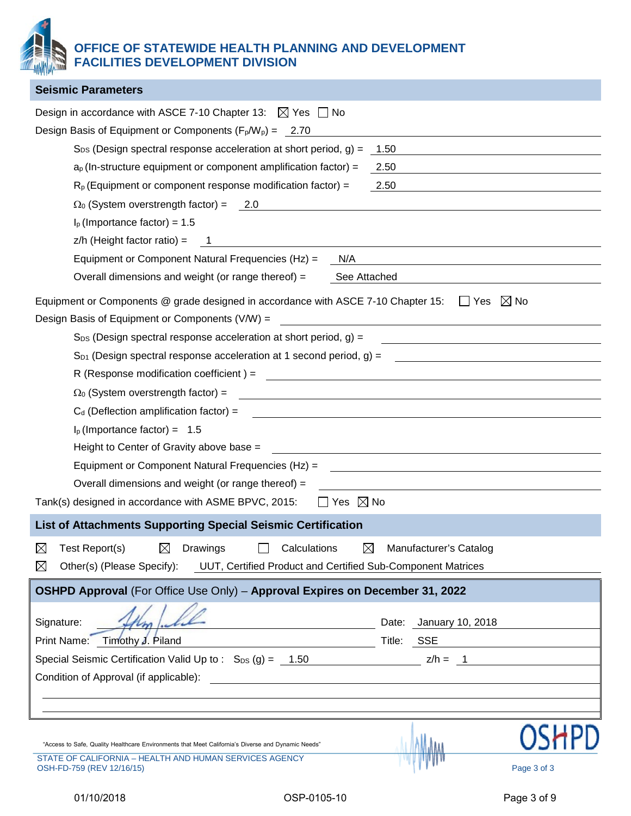**OFFICE OF STATEWIDE HEALTH PLANNING AND DEVELOPMENT FACILITIES DEVELOPMENT DIVISION**

| <b>Seismic Parameters</b>                                                                                                                                        |                                                                                                                        |                                                             |
|------------------------------------------------------------------------------------------------------------------------------------------------------------------|------------------------------------------------------------------------------------------------------------------------|-------------------------------------------------------------|
| Design in accordance with ASCE 7-10 Chapter 13: $\boxtimes$ Yes $\Box$ No                                                                                        |                                                                                                                        |                                                             |
| Design Basis of Equipment or Components $(F_p/W_p) = 2.70$                                                                                                       |                                                                                                                        |                                                             |
| $S_{DS}$ (Design spectral response acceleration at short period, g) =                                                                                            | 1.50                                                                                                                   |                                                             |
| $a_p$ (In-structure equipment or component amplification factor) =                                                                                               | 2.50                                                                                                                   |                                                             |
| $R_p$ (Equipment or component response modification factor) =                                                                                                    | 2.50                                                                                                                   |                                                             |
| $\Omega_0$ (System overstrength factor) = 2.0                                                                                                                    |                                                                                                                        |                                                             |
| $Ip$ (Importance factor) = 1.5                                                                                                                                   |                                                                                                                        |                                                             |
| $z/h$ (Height factor ratio) =                                                                                                                                    |                                                                                                                        |                                                             |
| Equipment or Component Natural Frequencies (Hz) =<br>N/A                                                                                                         |                                                                                                                        |                                                             |
| Overall dimensions and weight (or range thereof) =<br>See Attached                                                                                               |                                                                                                                        |                                                             |
| Equipment or Components @ grade designed in accordance with ASCE 7-10 Chapter 15:                                                                                | $\Box$ Yes                                                                                                             | $\boxtimes$ No                                              |
| Design Basis of Equipment or Components (V/W) =                                                                                                                  | <u> 1989 - John Stein, Amerikaansk politiker (</u>                                                                     |                                                             |
| $S_{DS}$ (Design spectral response acceleration at short period, g) =                                                                                            |                                                                                                                        |                                                             |
| $S_{D1}$ (Design spectral response acceleration at 1 second period, g) =                                                                                         | <u> 1989 - Jan Barnett, fransk politiker (d. 1989)</u>                                                                 |                                                             |
| R (Response modification coefficient) =                                                                                                                          |                                                                                                                        |                                                             |
| $\Omega_0$ (System overstrength factor) =                                                                                                                        |                                                                                                                        |                                                             |
| $C_d$ (Deflection amplification factor) =                                                                                                                        | <u> 1989 - Johann Barn, amerikan bestemanns og forskellige og det blev til store og det blev til store og det blev</u> |                                                             |
| $I_p$ (Importance factor) = 1.5                                                                                                                                  |                                                                                                                        |                                                             |
| Height to Center of Gravity above base =                                                                                                                         |                                                                                                                        |                                                             |
| Equipment or Component Natural Frequencies (Hz) =                                                                                                                |                                                                                                                        |                                                             |
| Overall dimensions and weight (or range thereof) =                                                                                                               |                                                                                                                        |                                                             |
| Yes $\boxtimes$ No<br>Tank(s) designed in accordance with ASME BPVC, 2015:                                                                                       |                                                                                                                        |                                                             |
| <b>List of Attachments Supporting Special Seismic Certification</b>                                                                                              |                                                                                                                        |                                                             |
| $\boxtimes$<br>Test Report(s)<br>$\boxtimes$<br>Drawings<br>Calculations<br>$\boxtimes$                                                                          | Manufacturer's Catalog                                                                                                 |                                                             |
| $\boxtimes$<br>Other(s) (Please Specify): UUT, Certified Product and Certified Sub-Component Matrices                                                            |                                                                                                                        |                                                             |
| OSHPD Approval (For Office Use Only) - Approval Expires on December 31, 2022                                                                                     |                                                                                                                        |                                                             |
|                                                                                                                                                                  |                                                                                                                        |                                                             |
| Signature:                                                                                                                                                       | Date: January 10, 2018                                                                                                 |                                                             |
| Print Name: Timothy J. Piland                                                                                                                                    | Title: SSE                                                                                                             | <u> 1989 - Andrea Station Books, amerikansk politiker (</u> |
| Special Seismic Certification Valid Up to : $S_{DS}(g) = 1.50$ 2/h = 1                                                                                           |                                                                                                                        |                                                             |
| Condition of Approval (if applicable):<br><u> 1980 - Johann Stoff, deutscher Stoffen und der Stoffen und der Stoffen und der Stoffen und der Stoffen und der</u> |                                                                                                                        |                                                             |
|                                                                                                                                                                  |                                                                                                                        |                                                             |
|                                                                                                                                                                  |                                                                                                                        |                                                             |
|                                                                                                                                                                  |                                                                                                                        |                                                             |
| "Access to Safe, Quality Healthcare Environments that Meet California's Diverse and Dynamic Needs"<br>STATE OF CALIFORNIA - HEALTH AND HUMAN SERVICES AGENCY     |                                                                                                                        |                                                             |
| OSH-FD-759 (REV 12/16/15)                                                                                                                                        |                                                                                                                        | Page 3 of 3                                                 |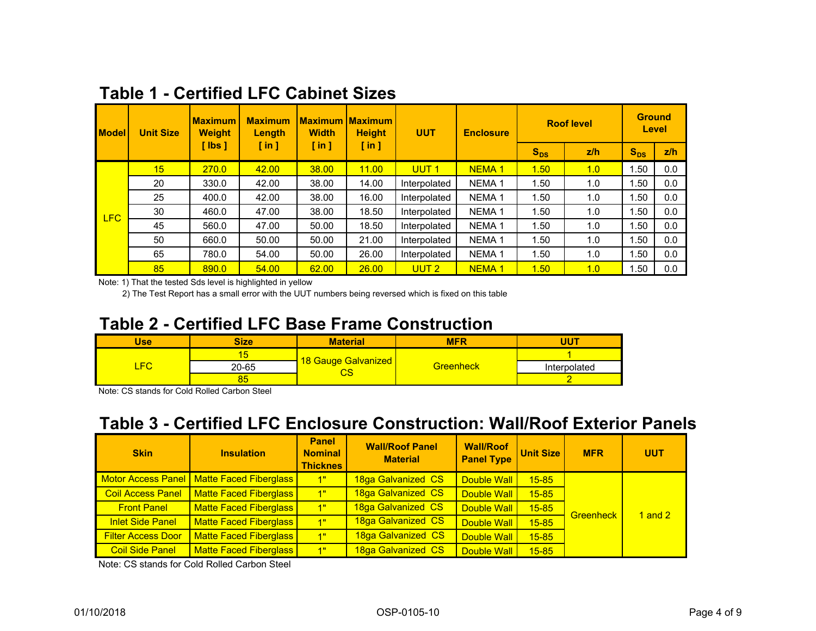| <b>Model</b> | <b>Unit Size</b> | <b>Maximum</b><br><b>Weight</b> | <b>Maximum</b><br>Length | <b>Width</b>         | Maximum Maximum I<br><b>Height</b> | <b>UUT</b>       | <b>Enclosure</b>  |          | <b>Roof level</b> | <b>Ground</b> | <b>Level</b> |
|--------------|------------------|---------------------------------|--------------------------|----------------------|------------------------------------|------------------|-------------------|----------|-------------------|---------------|--------------|
|              |                  | $\lceil$ lbs $\rceil$           | $\lceil$ in $\rceil$     | $\lceil$ in $\rceil$ | $[$ in $]$                         |                  |                   | $S_{DS}$ | z/h               | $S_{DS}$      | z/h          |
|              | 15               | 270.0                           | 42.00                    | 38.00                | 11.00                              | UUT <sub>1</sub> | <b>NEMA1</b>      | 1.50     | 1.0               | 1.50          | 0.0          |
|              | 20               | 330.0                           | 42.00                    | 38.00                | 14.00                              | Interpolated     | NEMA <sub>1</sub> | 1.50     | 1.0               | 1.50          | 0.0          |
|              | 25               | 400.0                           | 42.00                    | 38.00                | 16.00                              | Interpolated     | NEMA <sub>1</sub> | 1.50     | 1.0               | 1.50          | 0.0          |
| <b>LFC</b>   | 30               | 460.0                           | 47.00                    | 38.00                | 18.50                              | Interpolated     | NEMA <sub>1</sub> | 1.50     | 1.0               | 1.50          | 0.0          |
|              | 45               | 560.0                           | 47.00                    | 50.00                | 18.50                              | Interpolated     | <b>NEMA1</b>      | 1.50     | 1.0               | 1.50          | 0.0          |
|              | 50               | 660.0                           | 50.00                    | 50.00                | 21.00                              | Interpolated     | <b>NEMA1</b>      | 1.50     | 1.0               | 1.50          | 0.0          |
|              | 65               | 780.0                           | 54.00                    | 50.00                | 26.00                              | Interpolated     | NEMA <sub>1</sub> | 1.50     | 1.0               | 1.50          | 0.0          |
|              | 85               | 890.0                           | 54.00                    | 62.00                | 26.00                              | UUT <sub>2</sub> | <b>NEMA1</b>      | 1.50     | 1.0               | 1.50          | 0.0          |

## **Table 1 - Certified LFC Cabinet Sizes**

Note: 1) That the tested Sds level is highlighted in yellow

2) The Test Report has a small error with the UUT numbers being reversed which is fixed on this table

#### Table 2 - Certified LFC Base Frame Construction

| Jse       | <b>Size</b> | Material            | <b>MFR</b>       | 111T         |
|-----------|-------------|---------------------|------------------|--------------|
| <b>FO</b> |             |                     |                  |              |
|           | 20-65       | 18 Gauge Galvanized | <b>Greenheck</b> | Interpolated |
|           | uu          | vo                  |                  |              |

Note: CS stands for Cold Rolled Carbon Steel

## **Table 3 - Certified LFC Enclosure Construction: Wall/Roof Exterior Panels**

| <b>Skin</b>               | <b>Insulation</b>                           | <b>Panel</b><br><b>Nominal</b><br><b>Thicknes</b> | <b>Wall/Roof Panel</b><br><b>Material</b> | <b>Wall/Roof</b><br><b>Panel Type</b> | <b>Unit Size</b> | <b>MFR</b>       | <b>UUT</b> |
|---------------------------|---------------------------------------------|---------------------------------------------------|-------------------------------------------|---------------------------------------|------------------|------------------|------------|
|                           | Motor Access Panel   Matte Faced Fiberglass | <u>'1"</u>                                        | 18ga Galvanized CS                        | Double Wall                           | $15 - 85$        |                  |            |
| <b>Coil Access Panel</b>  | <b>Matte Faced Fiberglass</b>               | 1"                                                | 18ga Galvanized CS                        | Double Wall                           | $15 - 85$        |                  |            |
| <b>Front Panel</b>        | <b>Matte Faced Fiberglass</b>               | 1"                                                | 18ga Galvanized CS                        | <b>Double Wall</b>                    | $15 - 85$        | <b>Greenheck</b> | 1 and $2$  |
| <b>Inlet Side Panel</b>   | <b>Matte Faced Fiberglass</b>               | 1"                                                | 18ga Galvanized CS                        | <b>Double Wall</b>                    | $15 - 85$        |                  |            |
| <b>Filter Access Door</b> | <b>Matte Faced Fiberglass</b>               | <u>'1"</u>                                        | 18ga Galvanized CS                        | Double Wall                           | $15 - 85$        |                  |            |
| <b>Coil Side Panel</b>    | <b>Matte Faced Fiberglass</b>               | 1"                                                | 18ga Galvanized CS                        | Double Wall                           | $15 - 85$        |                  |            |

Note: CS stands for Cold Rolled Carbon Steel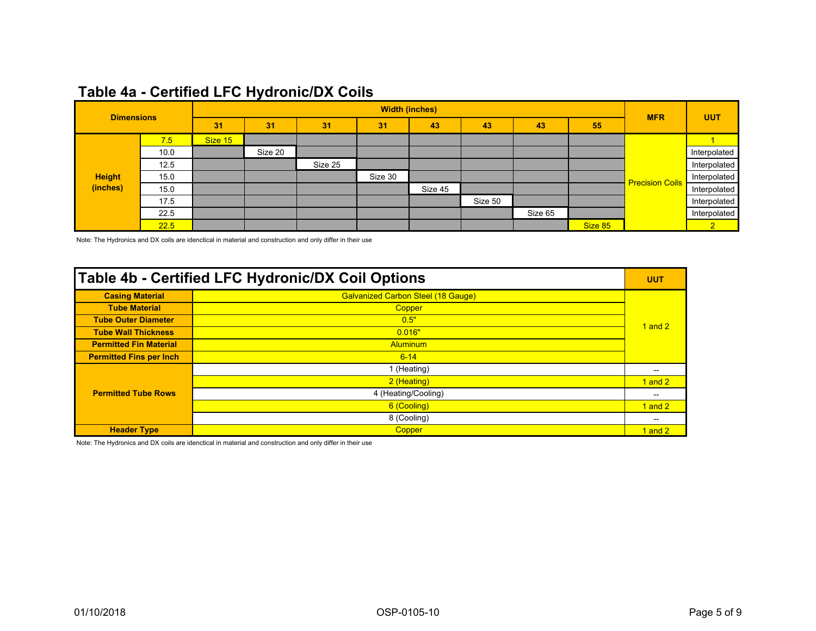| <b>Dimensions</b> |      | <b>Width (inches)</b> |         |         |         |         |         |         |         |                        |                |
|-------------------|------|-----------------------|---------|---------|---------|---------|---------|---------|---------|------------------------|----------------|
|                   |      | 31                    | 31      | 31      | 31      | 43      | 43      | 43      | 55      | <b>MFR</b>             | <b>UUT</b>     |
|                   | 7.5  | Size 15               |         |         |         |         |         |         |         |                        |                |
|                   | 10.0 |                       | Size 20 |         |         |         |         |         |         |                        | Interpolated   |
|                   | 12.5 |                       |         | Size 25 |         |         |         |         |         |                        | Interpolated   |
| <b>Height</b>     | 15.0 |                       |         |         | Size 30 |         |         |         |         | <b>Precision Coils</b> | Interpolated   |
| (inches)          | 15.0 |                       |         |         |         | Size 45 |         |         |         |                        | Interpolated   |
|                   | 17.5 |                       |         |         |         |         | Size 50 |         |         |                        | Interpolated   |
|                   | 22.5 |                       |         |         |         |         |         | Size 65 |         |                        | Interpolated   |
|                   | 22.5 |                       |         |         |         |         |         |         | Size 85 |                        | 2 <sup>1</sup> |

## Table 4a - Certified LFC Hydronic/DX Coils

Note: The Hydronics and DX coils are idenctical in material and construction and only differ in their use

| Table 4b - Certified LFC Hydronic/DX Coil Options |                                           |             |  |  |  |
|---------------------------------------------------|-------------------------------------------|-------------|--|--|--|
| <b>Casing Material</b>                            | <b>Galvanized Carbon Steel (18 Gauge)</b> |             |  |  |  |
| <b>Tube Material</b>                              | Copper                                    |             |  |  |  |
| <b>Tube Outer Diameter</b>                        | 0.5"                                      | $1$ and $2$ |  |  |  |
| <b>Tube Wall Thickness</b>                        | 0.016"                                    |             |  |  |  |
| <b>Permitted Fin Material</b>                     | <b>Aluminum</b>                           |             |  |  |  |
| <b>Permitted Fins per Inch</b>                    | $6 - 14$                                  |             |  |  |  |
|                                                   | 1 (Heating)                               | --          |  |  |  |
|                                                   | 2 (Heating)                               | $1$ and $2$ |  |  |  |
| <b>Permitted Tube Rows</b>                        | 4 (Heating/Cooling)                       | $- -$       |  |  |  |
|                                                   | 6 (Cooling)                               | 1 and $21$  |  |  |  |
|                                                   | 8 (Cooling)                               | --          |  |  |  |
| <b>Header Type</b>                                | Copper                                    | $1$ and $2$ |  |  |  |

Note: The Hydronics and DX coils are idenctical in material and construction and only differ in their use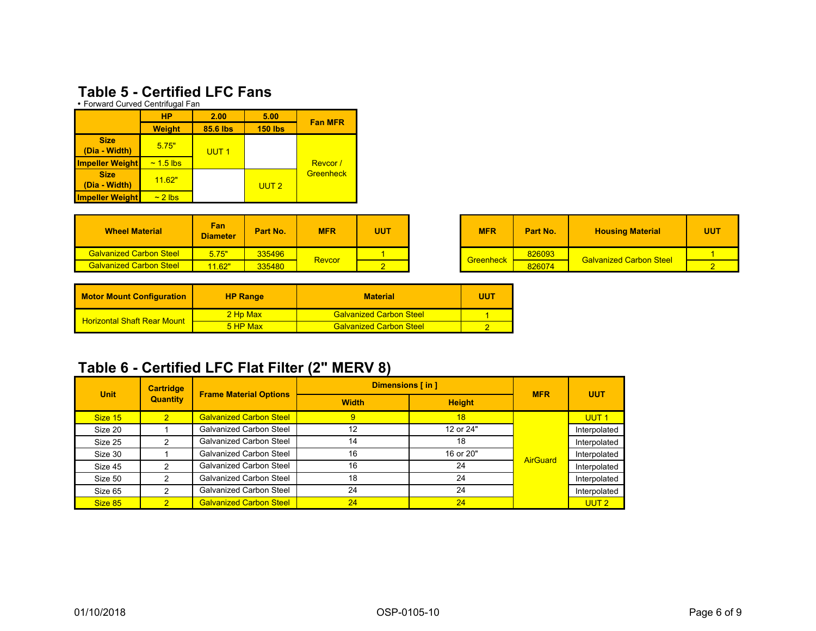### **Table 5 - Certified LFC Fans**

• Forward Curved Centrifugal Fan

|                              | <b>HP</b>      | 2.00             | 5.00             | <b>Fan MFR</b> |
|------------------------------|----------------|------------------|------------------|----------------|
|                              | <b>Weight</b>  | 85.6 lbs         | <b>150 lbs</b>   |                |
| <b>Size</b><br>(Dia - Width) | 5.75"          | UUT <sub>1</sub> |                  |                |
| <b>Impeller Weight</b>       | $\sim$ 1.5 lbs |                  |                  | Revcor/        |
| <b>Size</b><br>(Dia - Width) | 11.62"         |                  | UUT <sub>2</sub> | Greenheck      |
| <b>Impeller Weight</b>       | $\sim$ 2 lbs.  |                  |                  |                |

| <b>Wheel Material</b>          | Fan<br><b>Diameter</b> | Part No. | <b>MFR</b> | UUT |  | <b>MFR</b>       | Part No. | <b>Housing Material</b>        | <b>UUT</b> |
|--------------------------------|------------------------|----------|------------|-----|--|------------------|----------|--------------------------------|------------|
| <b>Galvanized Carbon Steel</b> | 5.75"                  | 335496   | Revcor     |     |  | <b>Greenheck</b> | 826093   | <b>Galvanized Carbon Steel</b> |            |
| <b>Galvanized Carbon Steel</b> | 11.62"                 | 335480   |            |     |  |                  | 826074   |                                |            |

| <b>Motor Mount Configuration</b><br><b>HP Range</b> |            | <b>Material</b>                | UUT |
|-----------------------------------------------------|------------|--------------------------------|-----|
| <b>Horizontal Shaft Rear Mount</b>                  | 2 Hp Max   | <b>Galvanized Carbon Steel</b> |     |
|                                                     | $5$ HP Max | <b>Galvanized Carbon Steel</b> |     |

## Table 6 - Certified LFC Flat Filter (2" MERV 8)

| <b>Unit</b> | <b>Cartridge</b> |                                | Dimensions [in] |               | <b>MFR</b>      | <b>UUT</b>       |
|-------------|------------------|--------------------------------|-----------------|---------------|-----------------|------------------|
|             | <b>Quantity</b>  | <b>Frame Material Options</b>  | <b>Width</b>    | <b>Height</b> |                 |                  |
| Size 15     | $\overline{2}$   | <b>Galvanized Carbon Steel</b> | 9               | 18            |                 | UUT <sub>1</sub> |
| Size 20     |                  | <b>Galvanized Carbon Steel</b> | 12              | 12 or 24"     |                 | Interpolated     |
| Size 25     | 2                | <b>Galvanized Carbon Steel</b> | 14              | 18            |                 | Interpolated     |
| Size 30     |                  | <b>Galvanized Carbon Steel</b> | 16              | 16 or 20"     | <b>AirGuard</b> | Interpolated     |
| Size 45     | っ                | <b>Galvanized Carbon Steel</b> | 16              | 24            |                 | Interpolated     |
| Size 50     | 2                | <b>Galvanized Carbon Steel</b> | 18              | 24            |                 | Interpolated     |
| Size 65     | 2                | <b>Galvanized Carbon Steel</b> | 24              | 24            |                 | Interpolated     |
| Size 85     | 2                | <b>Galvanized Carbon Steel</b> | 24              | 24            |                 | UUT <sub>2</sub> |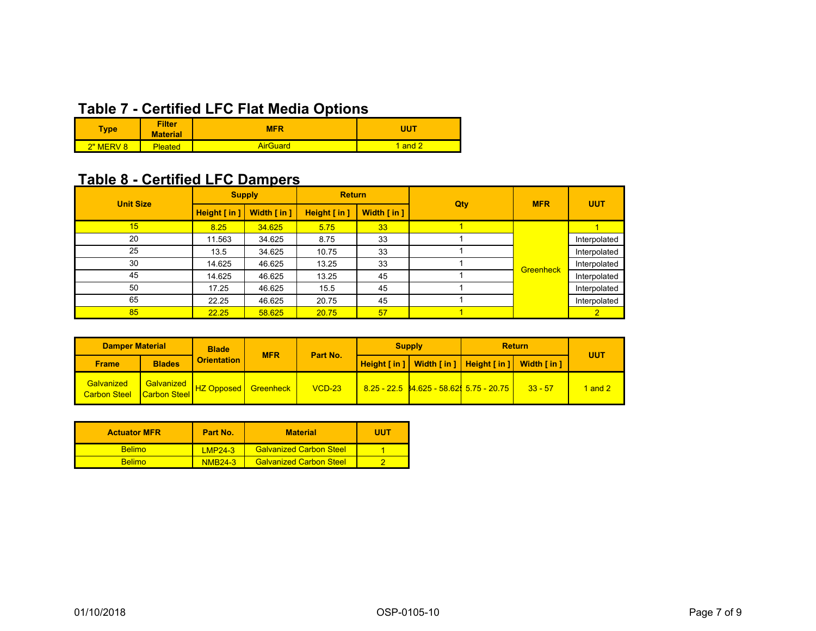# **Table 7 - Certified LFC Flat Media Options**

| <b>Type</b>         | <b>Filter</b><br><b>Material</b> | <b>MFR</b>      | <b>JUT</b> |  |  |
|---------------------|----------------------------------|-----------------|------------|--|--|
| <u>?" MERV</u><br>8 | <b>Pleated</b>                   | <b>AirGuard</b> | and        |  |  |

## Table 8 - Certified LFC Dampers

| <b>Unit Size</b> | <b>Supply</b> |                            | <b>Return</b> |             |     | <b>MFR</b>       | <b>UUT</b>   |
|------------------|---------------|----------------------------|---------------|-------------|-----|------------------|--------------|
|                  | Height [in]   | Width $\lceil$ in $\rceil$ | Height [in]   | Width [in ] | Qty |                  |              |
| 15               | 8.25          | 34.625                     | 5.75          | 33          |     |                  |              |
| 20               | 11.563        | 34.625                     | 8.75          | 33          |     |                  | Interpolated |
| 25               | 13.5          | 34.625                     | 10.75         | 33          |     |                  | Interpolated |
| 30               | 14.625        | 46.625                     | 13.25         | 33          |     | <b>Greenheck</b> | Interpolated |
| 45               | 14.625        | 46.625                     | 13.25         | 45          |     |                  | Interpolated |
| 50               | 17.25         | 46.625                     | 15.5          | 45          |     |                  | Interpolated |
| 65               | 22.25         | 46.625                     | 20.75         | 45          |     |                  | Interpolated |
| 85               | 22.25         | 58.625                     | 20.75         | 57          |     |                  |              |

| <b>Damper Material</b>            |                                 | <b>Blade</b>       | <b>MFR</b> |          | <b>Supply</b>                                           | <b>Return</b> |           |         |
|-----------------------------------|---------------------------------|--------------------|------------|----------|---------------------------------------------------------|---------------|-----------|---------|
| <b>Frame</b>                      | <b>Blades</b>                   | <b>Orientation</b> |            | Part No. | Height [in ]   Width [in ]   Height [in ]   Width [in ] |               |           | UUT     |
| Galvanized<br><b>Carbon Steel</b> | Galvanized HZ Opposed Greenheck |                    |            | $VCD-23$ | <u>8.25 - 22.5 34.625 - 58.62 5.75 - 20.75  </u>        |               | $33 - 57$ | l and 2 |

| <b>Actuator MFR</b> | Part No.       | <b>Material</b>                | UUT |
|---------------------|----------------|--------------------------------|-----|
| <b>Belimo</b>       | $1 MP24-3$     | <b>Galvanized Carbon Steel</b> |     |
| <b>Belimo</b>       | <b>NMB24-3</b> | <b>Galvanized Carbon Steel</b> |     |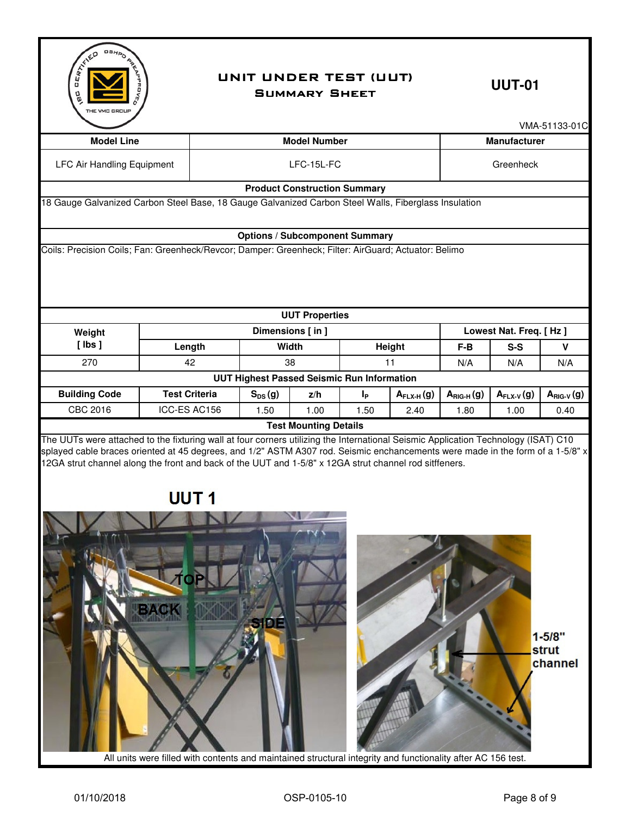

#### UNIT UNDER TEST (UUT) UUT-01 Summary Sheet

|                                                                                                                                                                                                                                          |                      |  |             |                                                   |                |                            |                       |                                 | VMA-51133-01C                  |
|------------------------------------------------------------------------------------------------------------------------------------------------------------------------------------------------------------------------------------------|----------------------|--|-------------|---------------------------------------------------|----------------|----------------------------|-----------------------|---------------------------------|--------------------------------|
| <b>Model Line</b>                                                                                                                                                                                                                        |                      |  |             | <b>Model Number</b>                               |                |                            |                       | <b>Manufacturer</b>             |                                |
| <b>LFC Air Handling Equipment</b>                                                                                                                                                                                                        | LFC-15L-FC           |  |             |                                                   |                | Greenheck                  |                       |                                 |                                |
|                                                                                                                                                                                                                                          |                      |  |             | <b>Product Construction Summary</b>               |                |                            |                       |                                 |                                |
| 18 Gauge Galvanized Carbon Steel Base, 18 Gauge Galvanized Carbon Steel Walls, Fiberglass Insulation                                                                                                                                     |                      |  |             |                                                   |                |                            |                       |                                 |                                |
|                                                                                                                                                                                                                                          |                      |  |             |                                                   |                |                            |                       |                                 |                                |
|                                                                                                                                                                                                                                          |                      |  |             | <b>Options / Subcomponent Summary</b>             |                |                            |                       |                                 |                                |
| Coils: Precision Coils; Fan: Greenheck/Revcor; Damper: Greenheck; Filter: AirGuard; Actuator: Belimo                                                                                                                                     |                      |  |             |                                                   |                |                            |                       |                                 |                                |
|                                                                                                                                                                                                                                          |                      |  |             |                                                   |                |                            |                       |                                 |                                |
|                                                                                                                                                                                                                                          |                      |  |             | <b>UUT Properties</b><br>Dimensions [in]          |                |                            |                       |                                 |                                |
| Weight<br>$[$ lbs $]$                                                                                                                                                                                                                    | Length               |  |             | Width                                             |                | Height                     | $F-B$                 | Lowest Nat. Freq. [Hz]<br>$S-S$ |                                |
| 270                                                                                                                                                                                                                                      | 42                   |  |             | 38                                                |                | 11                         | N/A                   | N/A                             | V<br>N/A                       |
|                                                                                                                                                                                                                                          |                      |  |             | <b>UUT Highest Passed Seismic Run Information</b> |                |                            |                       |                                 |                                |
| <b>Building Code</b>                                                                                                                                                                                                                     | <b>Test Criteria</b> |  | $S_{DS}(g)$ | z/h                                               | I <sub>P</sub> | $A$ <sub>FLX-H</sub> $(g)$ | $A_{\text{RIG-H}}(g)$ | $A_{FLX-V}(g)$                  | $A_{RIG-V}(g)$                 |
| CBC 2016                                                                                                                                                                                                                                 | ICC-ES AC156         |  | 1.50        | 1.00                                              | 1.50           | 2.40                       | 1.80                  | 1.00                            | 0.40                           |
| splayed cable braces oriented at 45 degrees, and 1/2" ASTM A307 rod. Seismic enchancements were made in the form of a 1-5/8" x<br>12GA strut channel along the front and back of the UUT and 1-5/8" x 12GA strut channel rod sitffeners. | UUT <sub>1</sub>     |  |             |                                                   |                |                            |                       |                                 |                                |
|                                                                                                                                                                                                                                          |                      |  |             |                                                   |                |                            |                       |                                 | $1 - 5/8"$<br>strut<br>channel |

All units were filled with contents and maintained structural integrity and functionality after AC 156 test.